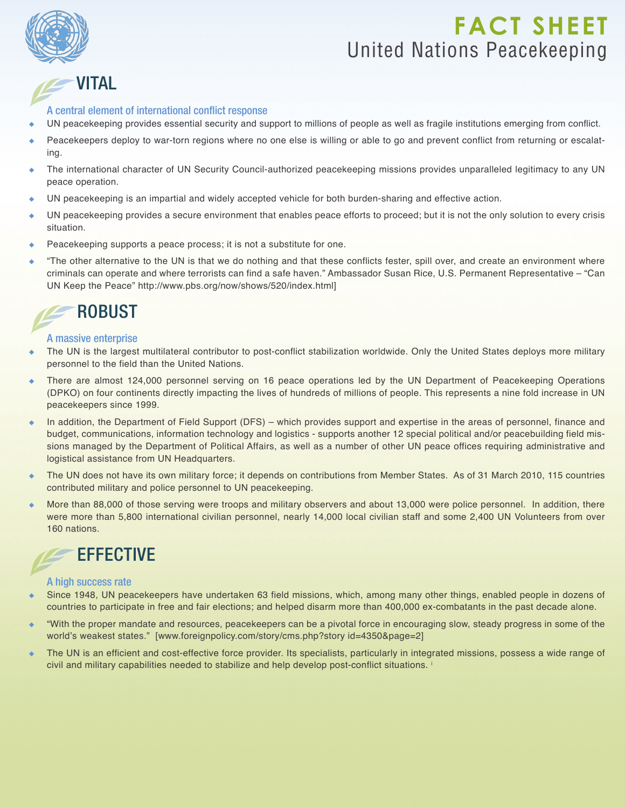

## **FACT SHEET** United Nations Peacekeeping

## VITAL

#### A central element of international conflict response

- UN peacekeeping provides essential security and support to millions of people as well as fragile institutions emerging from conflict.
- Peacekeepers deploy to war-torn regions where no one else is willing or able to go and prevent conflict from returning or escalating.
- The international character of UN Security Council-authorized peacekeeping missions provides unparalleled legitimacy to any UN peace operation.
- UN peacekeeping is an impartial and widely accepted vehicle for both burden-sharing and effective action.
- UN peacekeeping provides a secure environment that enables peace efforts to proceed; but it is not the only solution to every crisis situation.
- $\bullet$  Peacekeeping supports a peace process; it is not a substitute for one.
- "The other alternative to the UN is that we do nothing and that these conflicts fester, spill over, and create an environment where criminals can operate and where terrorists can find a safe haven." Ambassador Susan Rice, U.S. Permanent Representative – "Can UN Keep the Peace" http://www.pbs.org/now/shows/520/index.html]

## **ROBUST**

#### A massive enterprise

- The UN is the largest multilateral contributor to post-conflict stabilization worldwide. Only the United States deploys more military personnel to the field than the United Nations.
- There are almost 124,000 personnel serving on 16 peace operations led by the UN Department of Peacekeeping Operations (DPKO) on four continents directly impacting the lives of hundreds of millions of people. This represents a nine fold increase in UN peacekeepers since 1999.
- In addition, the Department of Field Support (DFS) which provides support and expertise in the areas of personnel, finance and budget, communications, information technology and logistics - supports another 12 special political and/or peacebuilding field missions managed by the Department of Political Affairs, as well as a number of other UN peace offices requiring administrative and logistical assistance from UN Headquarters.
- The UN does not have its own military force; it depends on contributions from Member States. As of 31 March 2010, 115 countries contributed military and police personnel to UN peacekeeping.
- More than 88,000 of those serving were troops and military observers and about 13,000 were police personnel. In addition, there were more than 5,800 international civilian personnel, nearly 14,000 local civilian staff and some 2,400 UN Volunteers from over 160 nations.

### **FFFFCTIVE**

#### A high success rate

- Since 1948, UN peacekeepers have undertaken 63 field missions, which, among many other things, enabled people in dozens of countries to participate in free and fair elections; and helped disarm more than 400,000 ex-combatants in the past decade alone.
- "With the proper mandate and resources, peacekeepers can be a pivotal force in encouraging slow, steady progress in some of the world's weakest states." [www.foreignpolicy.com/story/cms.php?story id=4350&page=2]
- The UN is an efficient and cost-effective force provider. Its specialists, particularly in integrated missions, possess a wide range of civil and military capabilities needed to stabilize and help develop post-conflict situations. i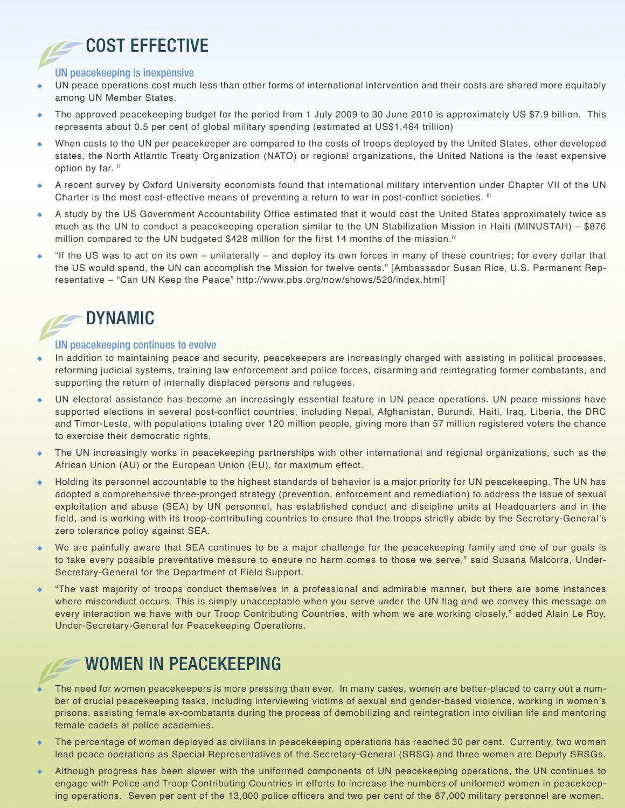### COST EFFECTIVE

#### UN peacekeeping is inexpensive

- UN peace operations cost much less than other forms of international intervention and their costs are shared more equitably among UN Member States.
- The approved peacekeeping budget for the period from 1 July 2009 to 30 June 2010 is approximately US \$7.9 billion. This represents about 0.5 per cent of global military spending (estimated at US\$1.464 trillion)
- When costs to the UN per peacekeeper are compared to the costs of troops deployed by the United States, other developed states, the North Atlantic Treaty Organization (NATO) or regional organizations, the United Nations is the least expensive option by far. ii
- A recent survey by Oxford University economists found that international military intervention under Chapter VII of the UN Charter is the most cost-effective means of preventing a return to war in post-conflict societies. "
- A study by the US Government Accountability Office estimated that it would cost the United States approximately twice as much as the UN to conduct a peacekeeping operation similar to the UN Stabilization Mission in Haiti (MINUSTAH) – \$876 million compared to the UN budgeted \$428 million for the first 14 months of the mission.<sup>iv</sup>
- "If the US was to act on its own unilaterally and deploy its own forces in many of these countries; for every dollar that the US would spend, the UN can accomplish the Mission for twelve cents." [Ambassador Susan Rice, U.S. Permanent Representative – "Can UN Keep the Peace" http://www.pbs.org/now/shows/520/index.html]

# DYNAMIC

#### UN peacekeeping continues to evolve

- In addition to maintaining peace and security, peacekeepers are increasingly charged with assisting in political processes, reforming judicial systems, training law enforcement and police forces, disarming and reintegrating former combatants, and supporting the return of internally displaced persons and refugees.
- UN electoral assistance has become an increasingly essential feature in UN peace operations. UN peace missions have supported elections in several post-conflict countries, including Nepal, Afghanistan, Burundi, Haiti, Iraq, Liberia, the DRC and Timor-Leste, with populations totaling over 120 million people, giving more than 57 million registered voters the chance to exercise their democratic rights.
- The UN increasingly works in peacekeeping partnerships with other international and regional organizations, such as the African Union (AU) or the European Union (EU), for maximum effect.
- Holding its personnel accountable to the highest standards of behavior is a major priority for UN peacekeeping. The UN has adopted a comprehensive three-pronged strategy (prevention, enforcement and remediation) to address the issue of sexual exploitation and abuse (SEA) by UN personnel, has established conduct and discipline units at Headquarters and in the field, and is working with its troop-contributing countries to ensure that the troops strictly abide by the Secretary-General's zero tolerance policy against SEA.
- We are painfully aware that SEA continues to be a major challenge for the peacekeeping family and one of our goals is to take every possible preventative measure to ensure no harm comes to those we serve," said Susana Malcorra, Under-Secretary-General for the Department of Field Support.
- "The vast majority of troops conduct themselves in a professional and admirable manner, but there are some instances where misconduct occurs. This is simply unacceptable when you serve under the UN flag and we convey this message on every interaction we have with our Troop Contributing Countries, with whom we are working closely," added Alain Le Roy, Under-Secretary-General for Peacekeeping Operations.

### WOMEN IN PEACEKEEPING

- The need for women peacekeepers is more pressing than ever. In many cases, women are better-placed to carry out a number of crucial peacekeeping tasks, including interviewing victims of sexual and gender-based violence, working in women's prisons, assisting female ex-combatants during the process of demobilizing and reintegration into civilian life and mentoring female cadets at police academies.
- The percentage of women deployed as civilians in peacekeeping operations has reached 30 per cent. Currently, two women lead peace operations as Special Representatives of the Secretary-General (SRSG) and three women are Deputy SRSGs.
- Although progress has been slower with the uniformed components of UN peacekeeping operations, the UN continues to engage with Police and Troop Contributing Countries in efforts to increase the numbers of uniformed women in peacekeeping operations. Seven per cent of the 13,000 police officers and two per cent of the 87,000 military personnel are women.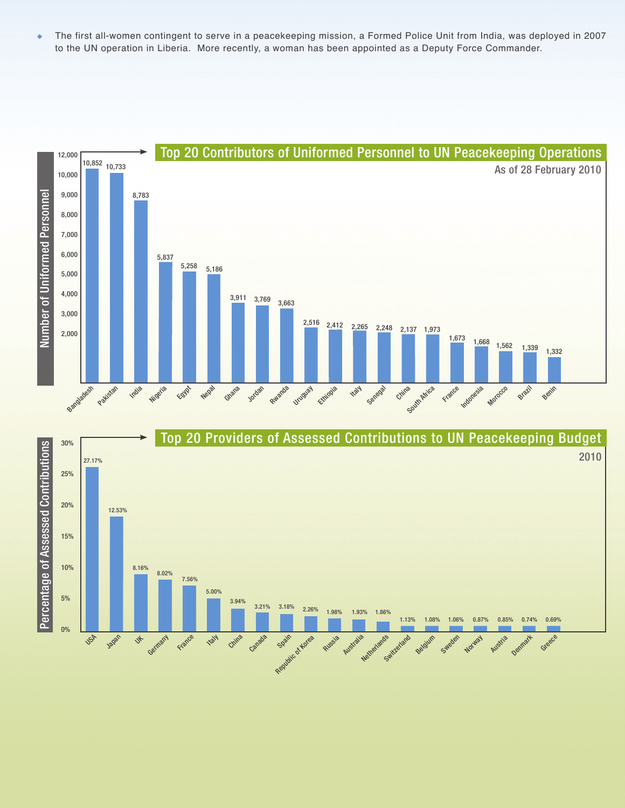The first all-women contingent to serve in a peacekeeping mission, a Formed Police Unit from India, was deployed in 2007 to the UN operation in Liberia. More recently, a woman has been appointed as a Deputy Force Commander.